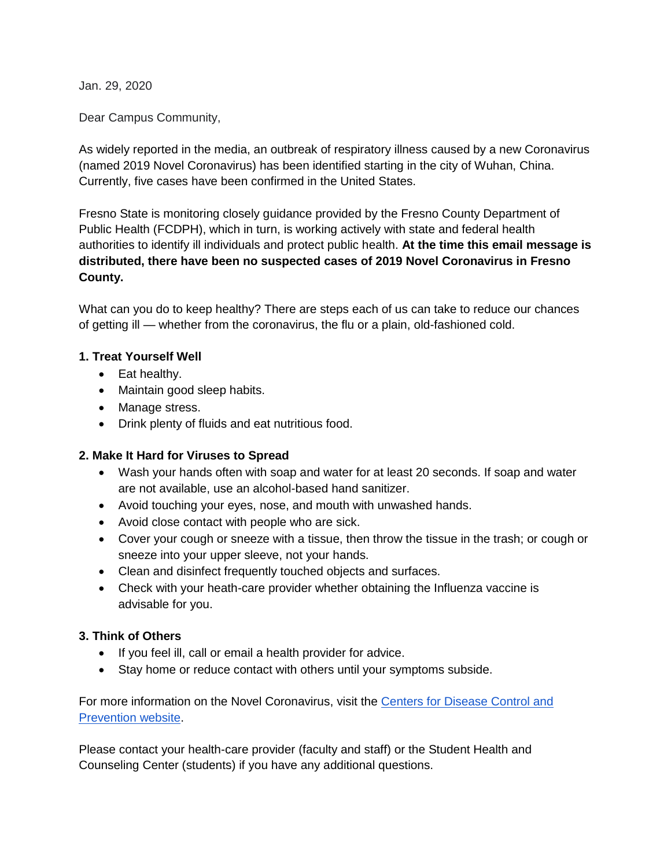Jan. 29, 2020

Dear Campus Community,

As widely reported in the media, an outbreak of respiratory illness caused by a new Coronavirus (named 2019 Novel Coronavirus) has been identified starting in the city of Wuhan, China. Currently, five cases have been confirmed in the United States.

Fresno State is monitoring closely guidance provided by the Fresno County Department of Public Health (FCDPH), which in turn, is working actively with state and federal health authorities to identify ill individuals and protect public health. **At the time this email message is distributed, there have been no suspected cases of 2019 Novel Coronavirus in Fresno County.**

What can you do to keep healthy? There are steps each of us can take to reduce our chances of getting ill — whether from the coronavirus, the flu or a plain, old-fashioned cold.

## **1. Treat Yourself Well**

- Eat healthy.
- Maintain good sleep habits.
- Manage stress.
- Drink plenty of fluids and eat nutritious food.

## **2. Make It Hard for Viruses to Spread**

- Wash your hands often with soap and water for at least 20 seconds. If soap and water are not available, use an alcohol-based hand sanitizer.
- Avoid touching your eyes, nose, and mouth with unwashed hands.
- Avoid close contact with people who are sick.
- Cover your cough or sneeze with a tissue, then throw the tissue in the trash; or cough or sneeze into your upper sleeve, not your hands.
- Clean and disinfect frequently touched objects and surfaces.
- Check with your heath-care provider whether obtaining the Influenza vaccine is advisable for you.

## **3. Think of Others**

- If you feel ill, call or email a health provider for advice.
- Stay home or reduce contact with others until your symptoms subside.

For more information on the Novel Coronavirus, visit the [Centers for Disease Control and](https://www.cdc.gov/coronavirus/2019-ncov/index.html)  [Prevention website.](https://www.cdc.gov/coronavirus/2019-ncov/index.html)

Please contact your health-care provider (faculty and staff) or the Student Health and Counseling Center (students) if you have any additional questions.